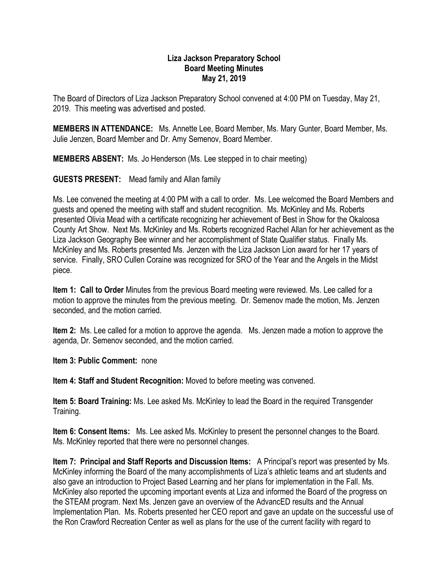## **Liza Jackson Preparatory School Board Meeting Minutes May 21, 2019**

The Board of Directors of Liza Jackson Preparatory School convened at 4:00 PM on Tuesday, May 21, 2019. This meeting was advertised and posted.

**MEMBERS IN ATTENDANCE:** Ms. Annette Lee, Board Member, Ms. Mary Gunter, Board Member, Ms. Julie Jenzen, Board Member and Dr. Amy Semenov, Board Member.

**MEMBERS ABSENT:** Ms. Jo Henderson (Ms. Lee stepped in to chair meeting)

**GUESTS PRESENT:** Mead family and Allan family

Ms. Lee convened the meeting at 4:00 PM with a call to order. Ms. Lee welcomed the Board Members and guests and opened the meeting with staff and student recognition. Ms. McKinley and Ms. Roberts presented Olivia Mead with a certificate recognizing her achievement of Best in Show for the Okaloosa County Art Show. Next Ms. McKinley and Ms. Roberts recognized Rachel Allan for her achievement as the Liza Jackson Geography Bee winner and her accomplishment of State Qualifier status. Finally Ms. McKinley and Ms. Roberts presented Ms. Jenzen with the Liza Jackson Lion award for her 17 years of service. Finally, SRO Cullen Coraine was recognized for SRO of the Year and the Angels in the Midst piece.

**Item 1: Call to Order** Minutes from the previous Board meeting were reviewed. Ms. Lee called for a motion to approve the minutes from the previous meeting. Dr. Semenov made the motion, Ms. Jenzen seconded, and the motion carried.

**Item 2:** Ms. Lee called for a motion to approve the agenda. Ms. Jenzen made a motion to approve the agenda, Dr. Semenov seconded, and the motion carried.

**Item 3: Public Comment:** none

**Item 4: Staff and Student Recognition:** Moved to before meeting was convened.

**Item 5: Board Training:** Ms. Lee asked Ms. McKinley to lead the Board in the required Transgender Training.

**Item 6: Consent Items:** Ms. Lee asked Ms. McKinley to present the personnel changes to the Board. Ms. McKinley reported that there were no personnel changes.

**Item 7: Principal and Staff Reports and Discussion Items:** A Principal's report was presented by Ms. McKinley informing the Board of the many accomplishments of Liza's athletic teams and art students and also gave an introduction to Project Based Learning and her plans for implementation in the Fall. Ms. McKinley also reported the upcoming important events at Liza and informed the Board of the progress on the STEAM program. Next Ms. Jenzen gave an overview of the AdvancED results and the Annual Implementation Plan. Ms. Roberts presented her CEO report and gave an update on the successful use of the Ron Crawford Recreation Center as well as plans for the use of the current facility with regard to